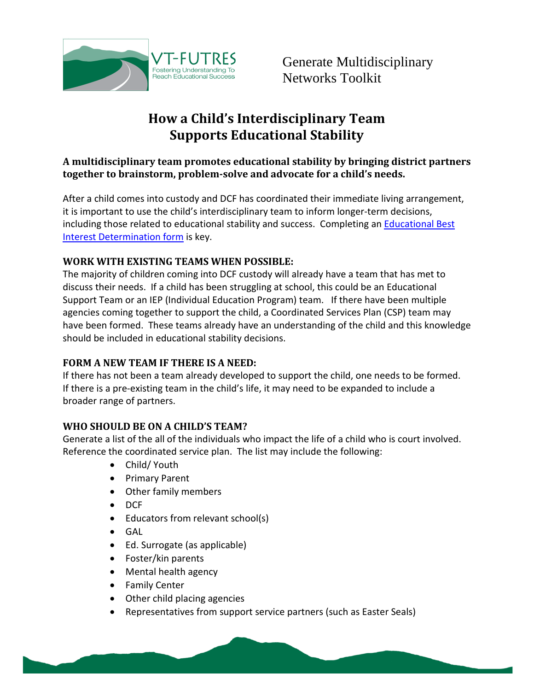

# **How a Child's Interdisciplinary Team Supports Educational Stability**

#### **A multidisciplinary team promotes educational stability by bringing district partners together to brainstorm, problem-solve and advocate for a child's needs.**

After a child comes into custody and DCF has coordinated their immediate living arrangement, it is important to use the child's interdisciplinary team to inform longer-term decisions, including those related to educational stability and success. Completing an **Educational Best** [Interest Determination form](http://vtfutres.org/wp-content/uploads/2014/01/Education-Best-Interest-Determination-Evaluation-Form1-14.pdf) is key.

## **WORK WITH EXISTING TEAMS WHEN POSSIBLE:**

The majority of children coming into DCF custody will already have a team that has met to discuss their needs. If a child has been struggling at school, this could be an Educational Support Team or an IEP (Individual Education Program) team. If there have been multiple agencies coming together to support the child, a Coordinated Services Plan (CSP) team may have been formed. These teams already have an understanding of the child and this knowledge should be included in educational stability decisions.

## **FORM A NEW TEAM IF THERE IS A NEED:**

If there has not been a team already developed to support the child, one needs to be formed. If there is a pre-existing team in the child's life, it may need to be expanded to include a broader range of partners.

## **WHO SHOULD BE ON A CHILD'S TEAM?**

Generate a list of the all of the individuals who impact the life of a child who is court involved. Reference the coordinated service plan. The list may include the following:

- Child/ Youth
- Primary Parent
- Other family members
- DCF
- Educators from relevant school(s)
- GAL
- Ed. Surrogate (as applicable)
- Foster/kin parents
- Mental health agency
- Family Center
- Other child placing agencies
- Representatives from support service partners (such as Easter Seals)